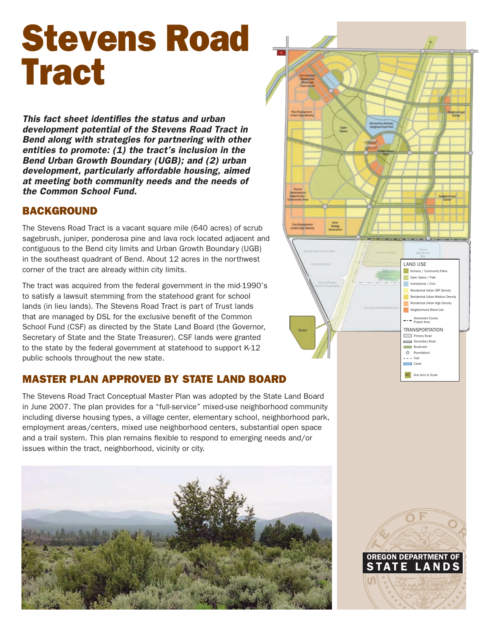# Stevens Road **Tract**

*This fact sheet identifies the status and urban development potential of the Stevens Road Tract in Bend along with strategies for partnering with other entities to promote: (1) the tract's inclusion in the Bend Urban Growth Boundary (UGB); and (2) urban development, particularly affordable housing, aimed at meeting both community needs and the needs of the Common School Fund.*

#### **BACKGROUND**

The Stevens Road Tract is a vacant square mile (640 acres) of scrub sagebrush, juniper, ponderosa pine and lava rock located adjacent and contiguous to the Bend city limits and Urban Growth Boundary (UGB) in the southeast quadrant of Bend. About 12 acres in the northwest corner of the tract are already within city limits.

The tract was acquired from the federal government in the mid-1990's to satisfy a lawsuit stemming from the statehood grant for school lands (in lieu lands). The Stevens Road Tract is part of Trust lands that are managed by DSL for the exclusive benefit of the Common School Fund (CSF) as directed by the State Land Board (the Governor, Secretary of State and the State Treasurer). CSF lands were granted to the state by the federal government at statehood to support K-12 public schools throughout the new state.

## Master Plan Approved by State Land Board

The Stevens Road Tract Conceptual Master Plan was adopted by the State Land Board in June 2007. The plan provides for a "full-service" mixed-use neighborhood community including diverse housing types, a village center, elementary school, neighborhood park, employment areas/centers, mixed use neighborhood centers, substantial open space and a trail system. This plan remains flexible to respond to emerging needs and/or issues within the tract, neighborhood, vicinity or city.





OREGON DEPARTMENT STATE LAN